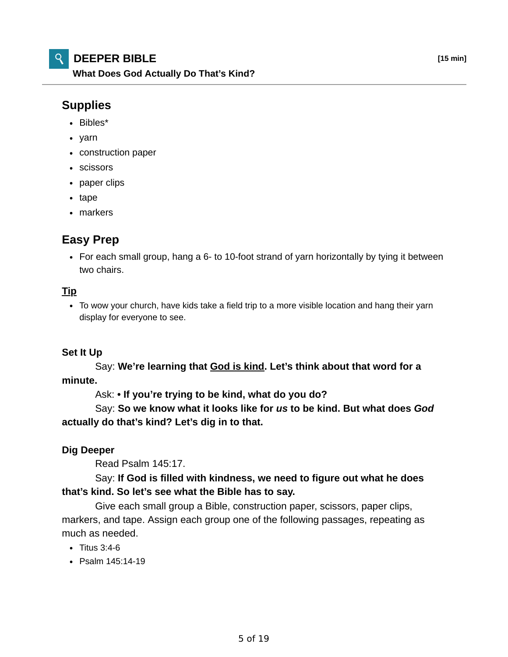## **Supplies**

- Bibles\*
- yarn
- construction paper
- scissors
- paper clips
- tape
- markers

# **Easy Prep**

For each small group, hang a 6- to 10-foot strand of yarn horizontally by tying it between two chairs.

#### **Tip**

To wow your church, have kids take a field trip to a more visible location and hang their yarn display for everyone to see.

### **Set It Up**

 Say: **We're learning that God is kind. Let's think about that word for a minute.**

Ask: **• If you're trying to be kind, what do you do?**

 Say: **So we know what it looks like for** *us* **to be kind. But what does** *God* **actually do that's kind? Let's dig in to that.**

#### **Dig Deeper**

Read Psalm 145:17.

### Say: **If God is filled with kindness, we need to figure out what he does that's kind. So let's see what the Bible has to say.**

 Give each small group a Bible, construction paper, scissors, paper clips, markers, and tape. Assign each group one of the following passages, repeating as much as needed.

- $\cdot$  Titus 3:4-6
- Psalm 145:14-19